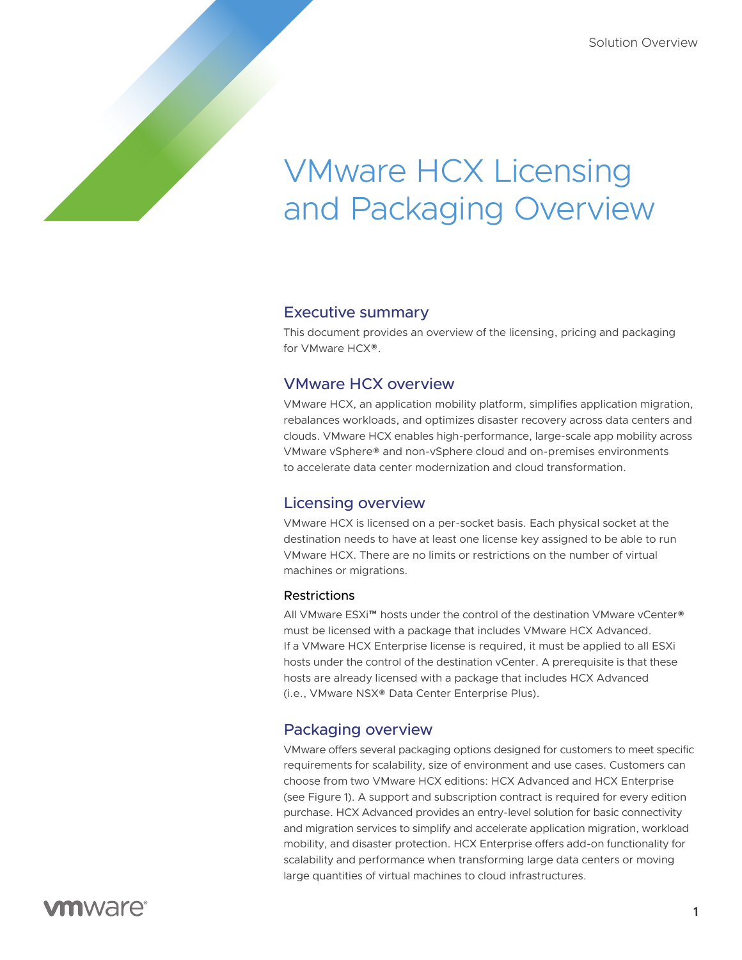# VMware HCX Licensing and Packaging Overview

#### Executive summary

This document provides an overview of the licensing, pricing and packaging for VMware HCX®.

# VMware HCX overview

VMware HCX, an application mobility platform, simplifies application migration, rebalances workloads, and optimizes disaster recovery across data centers and clouds. VMware HCX enables high-performance, large-scale app mobility across VMware vSphere® and non-vSphere cloud and on-premises environments to accelerate data center modernization and cloud transformation.

# Licensing overview

VMware HCX is licensed on a per-socket basis. Each physical socket at the destination needs to have at least one license key assigned to be able to run VMware HCX. There are no limits or restrictions on the number of virtual machines or migrations.

#### **Restrictions**

All VMware ESXi™ hosts under the control of the destination VMware vCenter® must be licensed with a package that includes VMware HCX Advanced. If a VMware HCX Enterprise license is required, it must be applied to all ESXi hosts under the control of the destination vCenter. A prerequisite is that these hosts are already licensed with a package that includes HCX Advanced (i.e., VMware NSX® Data Center Enterprise Plus).

# Packaging overview

VMware offers several packaging options designed for customers to meet specific requirements for scalability, size of environment and use cases. Customers can choose from two VMware HCX editions: HCX Advanced and HCX Enterprise (see Figure 1). A support and subscription contract is required for every edition purchase. HCX Advanced provides an entry-level solution for basic connectivity and migration services to simplify and accelerate application migration, workload mobility, and disaster protection. HCX Enterprise offers add-on functionality for scalability and performance when transforming large data centers or moving large quantities of virtual machines to cloud infrastructures.

# **vm**ware<sup>®</sup>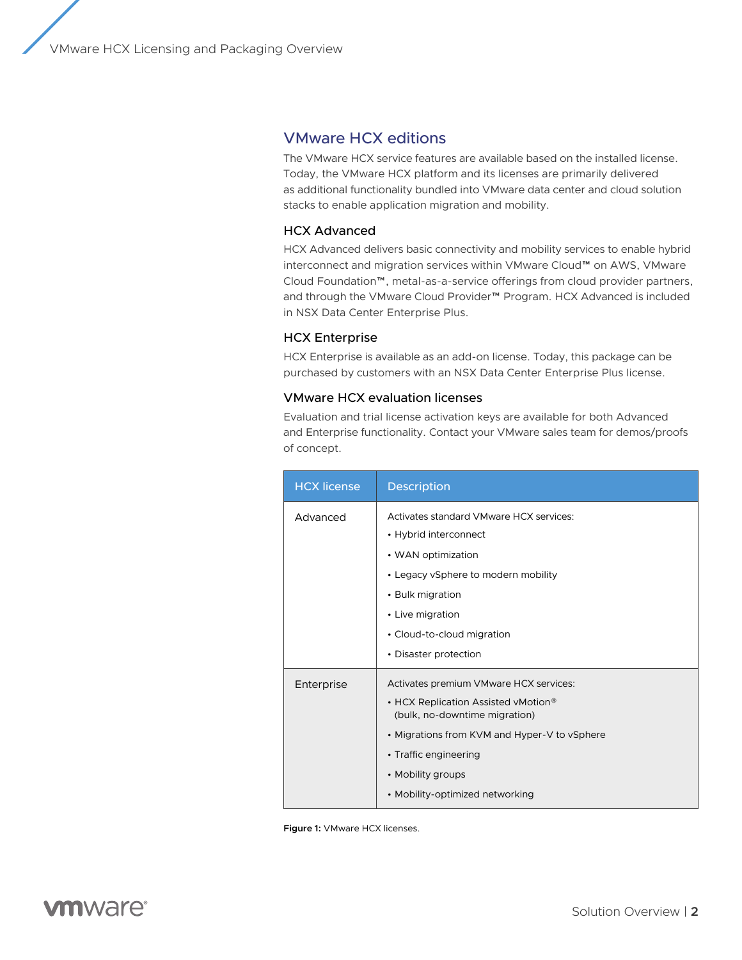VMware HCX Licensing and Packaging Overview

# VMware HCX editions

The VMware HCX service features are available based on the installed license. Today, the VMware HCX platform and its licenses are primarily delivered as additional functionality bundled into VMware data center and cloud solution stacks to enable application migration and mobility.

#### HCX Advanced

HCX Advanced delivers basic connectivity and mobility services to enable hybrid interconnect and migration services within VMware Cloud™ on AWS, VMware Cloud Foundation™, metal-as-a-service offerings from cloud provider partners, and through the VMware Cloud Provider™ Program. HCX Advanced is included in NSX Data Center Enterprise Plus.

#### HCX Enterprise

HCX Enterprise is available as an add-on license. Today, this package can be purchased by customers with an NSX Data Center Enterprise Plus license.

#### VMware HCX evaluation licenses

Evaluation and trial license activation keys are available for both Advanced and Enterprise functionality. Contact your VMware sales team for demos/proofs of concept.

| <b>HCX</b> license | <b>Description</b>                                                   |
|--------------------|----------------------------------------------------------------------|
| Advanced           | Activates standard VMware HCX services:                              |
|                    | • Hybrid interconnect                                                |
|                    | • WAN optimization                                                   |
|                    | • Legacy vSphere to modern mobility                                  |
|                    | • Bulk migration                                                     |
|                    | • Live migration                                                     |
|                    | • Cloud-to-cloud migration                                           |
|                    | • Disaster protection                                                |
| Enterprise         | Activates premium VMware HCX services:                               |
|                    | • HCX Replication Assisted vMotion®<br>(bulk, no-downtime migration) |
|                    | • Migrations from KVM and Hyper-V to vSphere                         |
|                    | • Traffic engineering                                                |
|                    | • Mobility groups                                                    |
|                    | • Mobility-optimized networking                                      |

**Figure 1:** VMware HCX licenses.